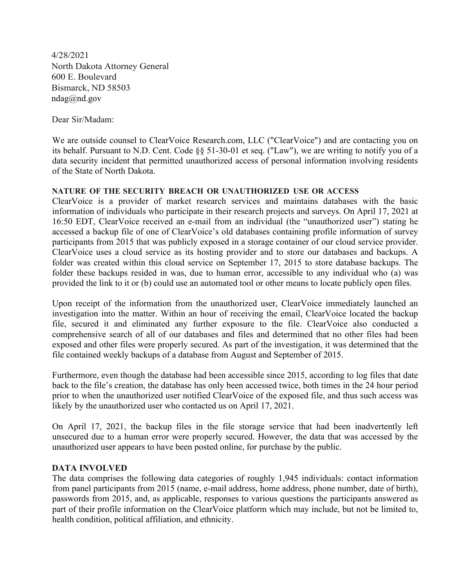4/28/2021 North Dakota Attorney General 600 E. Boulevard Bismarck, ND 58503 ndag@nd.gov

Dear Sir/Madam:

We are outside counsel to ClearVoice Research.com, LLC ("ClearVoice") and are contacting you on its behalf. Pursuant to N.D. Cent. Code §§ 51-30-01 et seq. ("Law"), we are writing to notify you of a data security incident that permitted unauthorized access of personal information involving residents of the State of North Dakota.

#### **NATURE OF THE SECURITY BREACH OR UNAUTHORIZED USE OR ACCESS**

ClearVoice is a provider of market research services and maintains databases with the basic information of individuals who participate in their research projects and surveys. On April 17, 2021 at 16:50 EDT, ClearVoice received an e-mail from an individual (the "unauthorized user") stating he accessed a backup file of one of ClearVoice's old databases containing profile information of survey participants from 2015 that was publicly exposed in a storage container of our cloud service provider. ClearVoice uses a cloud service as its hosting provider and to store our databases and backups. A folder was created within this cloud service on September 17, 2015 to store database backups. The folder these backups resided in was, due to human error, accessible to any individual who (a) was provided the link to it or (b) could use an automated tool or other means to locate publicly open files.

Upon receipt of the information from the unauthorized user, ClearVoice immediately launched an investigation into the matter. Within an hour of receiving the email, ClearVoice located the backup file, secured it and eliminated any further exposure to the file. ClearVoice also conducted a comprehensive search of all of our databases and files and determined that no other files had been exposed and other files were properly secured. As part of the investigation, it was determined that the file contained weekly backups of a database from August and September of 2015.

Furthermore, even though the database had been accessible since 2015, according to log files that date back to the file's creation, the database has only been accessed twice, both times in the 24 hour period prior to when the unauthorized user notified ClearVoice of the exposed file, and thus such access was likely by the unauthorized user who contacted us on April 17, 2021.

On April 17, 2021, the backup files in the file storage service that had been inadvertently left unsecured due to a human error were properly secured. However, the data that was accessed by the unauthorized user appears to have been posted online, for purchase by the public.

#### **DATA INVOLVED**

The data comprises the following data categories of roughly 1,945 individuals: contact information from panel participants from 2015 (name, e-mail address, home address, phone number, date of birth), passwords from 2015, and, as applicable, responses to various questions the participants answered as part of their profile information on the ClearVoice platform which may include, but not be limited to, health condition, political affiliation, and ethnicity.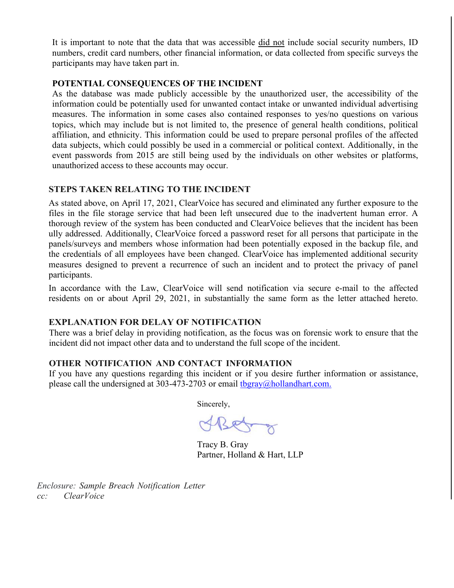It is important to note that the data that was accessible did not include social security numbers, ID numbers, credit card numbers, other financial information, or data collected from specific surveys the participants may have taken part in.

### **POTENTIAL CONSEQUENCES OF THE INCIDENT**

As the database was made publicly accessible by the unauthorized user, the accessibility of the information could be potentially used for unwanted contact intake or unwanted individual advertising measures. The information in some cases also contained responses to yes/no questions on various topics, which may include but is not limited to, the presence of general health conditions, political affiliation, and ethnicity. This information could be used to prepare personal profiles of the affected data subjects, which could possibly be used in a commercial or political context. Additionally, in the event passwords from 2015 are still being used by the individuals on other websites or platforms, unauthorized access to these accounts may occur.

### **STEPS TAKEN RELATING TO THE INCIDENT**

As stated above, on April 17, 2021, ClearVoice has secured and eliminated any further exposure to the files in the file storage service that had been left unsecured due to the inadvertent human error. A thorough review of the system has been conducted and ClearVoice believes that the incident has been ully addressed. Additionally, ClearVoice forced a password reset for all persons that participate in the panels/surveys and members whose information had been potentially exposed in the backup file, and the credentials of all employees have been changed. ClearVoice has implemented additional security measures designed to prevent a recurrence of such an incident and to protect the privacy of panel participants.

In accordance with the Law, ClearVoice will send notification via secure e-mail to the affected residents on or about April 29, 2021, in substantially the same form as the letter attached hereto.

#### **EXPLANATION FOR DELAY OF NOTIFICATION**

There was a brief delay in providing notification, as the focus was on forensic work to ensure that the incident did not impact other data and to understand the full scope of the incident.

#### **OTHER NOTIFICATION AND CONTACT INFORMATION**

If you have any questions regarding this incident or if you desire further information or assistance, please call the undersigned at 303-473-2703 or email [tbgray@hollandhart.com.](mailto:tbgray@hollandhart.com.)

Sincerely,

ABet

Tracy B. Gray Partner, Holland & Hart, LLP

*Enclosure: Sample Breach Notification Letter cc: ClearVoice*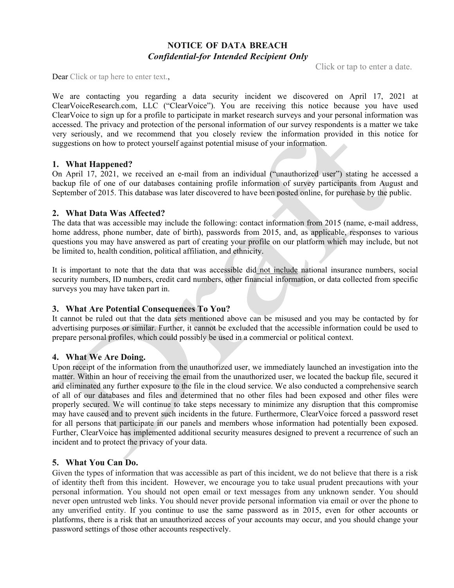# **NOTICE OF DATA BREACH** *Confidential-for Intended Recipient Only*

Click or tap to enter a date.

Dear Click or tap here to enter text.,

We are contacting you regarding a data security incident we discovered on April 17, 2021 at ClearVoiceResearch.com, LLC ("ClearVoice"). You are receiving this notice because you have used ClearVoice to sign up for a profile to participate in market research surveys and your personal information was accessed. The privacy and protection of the personal information of our survey respondents is a matter we take very seriously, and we recommend that you closely review the information provided in this notice for suggestions on how to protect yourself against potential misuse of your information.

#### **1. What Happened?**

On April 17, 2021, we received an e-mail from an individual ("unauthorized user") stating he accessed a backup file of one of our databases containing profile information of survey participants from August and September of 2015. This database was later discovered to have been posted online, for purchase by the public.

#### **2. What Data Was Affected?**

The data that was accessible may include the following: contact information from 2015 (name, e-mail address, home address, phone number, date of birth), passwords from 2015, and, as applicable, responses to various questions you may have answered as part of creating your profile on our platform which may include, but not be limited to, health condition, political affiliation, and ethnicity.

It is important to note that the data that was accessible did not include national insurance numbers, social security numbers, ID numbers, credit card numbers, other financial information, or data collected from specific surveys you may have taken part in.

#### **3. What Are Potential Consequences To You?**

It cannot be ruled out that the data sets mentioned above can be misused and you may be contacted by for advertising purposes or similar. Further, it cannot be excluded that the accessible information could be used to prepare personal profiles, which could possibly be used in a commercial or political context.

#### **4. What We Are Doing.**

Upon receipt of the information from the unauthorized user, we immediately launched an investigation into the matter. Within an hour of receiving the email from the unauthorized user, we located the backup file, secured it and eliminated any further exposure to the file in the cloud service. We also conducted a comprehensive search of all of our databases and files and determined that no other files had been exposed and other files were properly secured. We will continue to take steps necessary to minimize any disruption that this compromise may have caused and to prevent such incidents in the future. Furthermore, ClearVoice forced a password reset for all persons that participate in our panels and members whose information had potentially been exposed. Further, ClearVoice has implemented additional security measures designed to prevent a recurrence of such an incident and to protect the privacy of your data.

# **5. What You Can Do.**

Given the types of information that was accessible as part of this incident, we do not believe that there is a risk of identity theft from this incident. However, we encourage you to take usual prudent precautions with your personal information. You should not open email or text messages from any unknown sender. You should never open untrusted web links. You should never provide personal information via email or over the phone to any unverified entity. If you continue to use the same password as in 2015, even for other accounts or platforms, there is a risk that an unauthorized access of your accounts may occur, and you should change your password settings of those other accounts respectively.